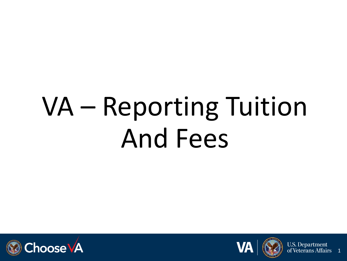# VA – Reporting Tuition And Fees





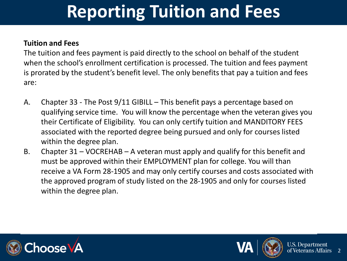#### **Tuition and Fees**

The tuition and fees payment is paid directly to the school on behalf of the student when the school's enrollment certification is processed. The tuition and fees payment is prorated by the student's benefit level. The only benefits that pay a tuition and fees are:

- A. Chapter 33 The Post 9/11 GIBILL This benefit pays a percentage based on qualifying service time. You will know the percentage when the veteran gives you their Certificate of Eligibility. You can only certify tuition and MANDITORY FEES associated with the reported degree being pursued and only for courses listed within the degree plan.
- B. Chapter 31 VOCREHAB A veteran must apply and qualify for this benefit and must be approved within their EMPLOYMENT plan for college. You will than receive a VA Form 28-1905 and may only certify courses and costs associated with the approved program of study listed on the 28-1905 and only for courses listed within the degree plan.





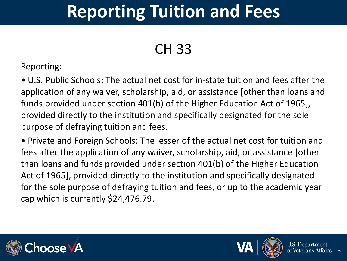#### CH 33

Reporting:

• U.S. Public Schools: The actual net cost for in-state tuition and fees after the application of any waiver, scholarship, aid, or assistance [other than loans and funds provided under section 401(b) of the Higher Education Act of 1965], provided directly to the institution and specifically designated for the sole purpose of defraying tuition and fees.

• Private and Foreign Schools: The lesser of the actual net cost for tuition and fees after the application of any waiver, scholarship, aid, or assistance [other than loans and funds provided under section 401(b) of the Higher Education Act of 1965], provided directly to the institution and specifically designated for the sole purpose of defraying tuition and fees, or up to the academic year cap which is currently \$24,476.79.





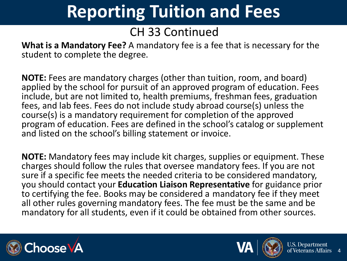#### CH 33 Continued

**What is a Mandatory Fee?** A mandatory fee is a fee that is necessary for the student to complete the degree.

**NOTE:** Fees are mandatory charges (other than tuition, room, and board) applied by the school for pursuit of an approved program of education. Fees include, but are not limited to, health premiums, freshman fees, graduation fees, and lab fees. Fees do not include study abroad course(s) unless the course(s) is a mandatory requirement for completion of the approved program of education. Fees are defined in the school's catalog or supplement and listed on the school's billing statement or invoice.

**NOTE:** Mandatory fees may include kit charges, supplies or equipment. These charges should follow the rules that oversee mandatory fees. If you are not sure if a specific fee meets the needed criteria to be considered mandatory, you should contact your **Education Liaison Representative** for guidance prior to certifying the fee. Books may be considered a mandatory fee if they meet all other rules governing mandatory fees. The fee must be the same and be mandatory for all students, even if it could be obtained from other sources.





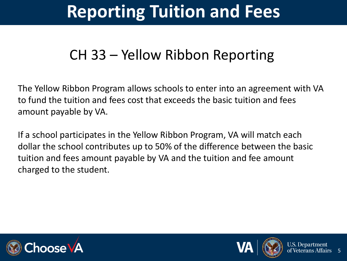#### CH 33 – Yellow Ribbon Reporting

The Yellow Ribbon Program allows schools to enter into an agreement with VA to fund the tuition and fees cost that exceeds the basic tuition and fees amount payable by VA.

If a school participates in the Yellow Ribbon Program, VA will match each dollar the school contributes up to 50% of the difference between the basic tuition and fees amount payable by VA and the tuition and fee amount charged to the student.





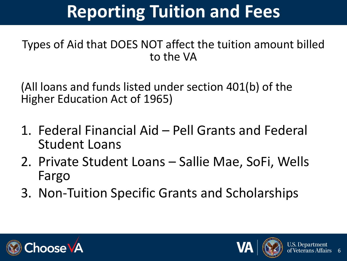#### Types of Aid that DOES NOT affect the tuition amount billed to the VA

(All loans and funds listed under section 401(b) of the Higher Education Act of 1965)

- 1. Federal Financial Aid Pell Grants and Federal Student Loans
- 2. Private Student Loans Sallie Mae, SoFi, Wells Fargo
- 3. Non-Tuition Specific Grants and Scholarships





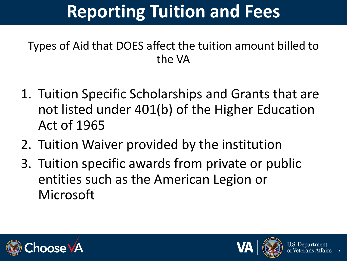#### Types of Aid that DOES affect the tuition amount billed to the VA

- 1. Tuition Specific Scholarships and Grants that are not listed under 401(b) of the Higher Education Act of 1965
- 2. Tuition Waiver provided by the institution
- 3. Tuition specific awards from private or public entities such as the American Legion or Microsoft





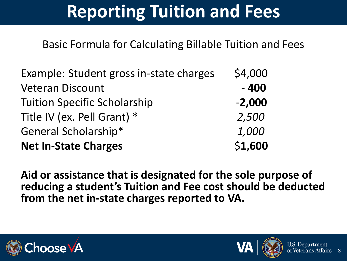Basic Formula for Calculating Billable Tuition and Fees

| Example: Student gross in-state charges | \$4,000  |
|-----------------------------------------|----------|
| <b>Veteran Discount</b>                 | $-400$   |
| <b>Tuition Specific Scholarship</b>     | $-2,000$ |
| Title IV (ex. Pell Grant) *             | 2,500    |
| General Scholarship*                    | 1,000    |
| <b>Net In-State Charges</b>             | \$1,600  |

**Aid or assistance that is designated for the sole purpose of reducing a student's Tuition and Fee cost should be deducted from the net in-state charges reported to VA.**





8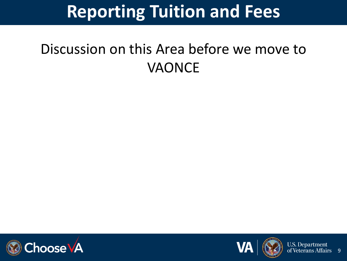#### Discussion on this Area before we move to VAONCE





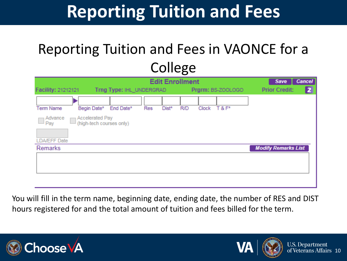#### Reporting Tuition and Fees in VAONCE for a College

| <b>Edit Enrollment</b><br><b>Cancel</b><br>Save                                                  |                                   |  |  |  |  |  |  |  |
|--------------------------------------------------------------------------------------------------|-----------------------------------|--|--|--|--|--|--|--|
| Facility: 21212121<br>Trng Type: IHL_UNDERGRAD<br>Prgrm: BS-ZOOLOGO                              | $\vert$ 2<br><b>Prior Credit:</b> |  |  |  |  |  |  |  |
| Begin Date*<br>$T & F^*$<br><b>Term Name</b><br>End Date*<br>Dist*<br><b>R/D</b><br>Clock<br>Res |                                   |  |  |  |  |  |  |  |
| <b>Accelerated Pay</b><br>Advance<br>(high-tech courses only)<br>$\mathsf{Pay}$                  |                                   |  |  |  |  |  |  |  |
| <b>LDA/EFF Date</b>                                                                              |                                   |  |  |  |  |  |  |  |
| Remarks                                                                                          | <b>Modify Remarks List</b>        |  |  |  |  |  |  |  |
|                                                                                                  |                                   |  |  |  |  |  |  |  |
|                                                                                                  |                                   |  |  |  |  |  |  |  |
|                                                                                                  |                                   |  |  |  |  |  |  |  |

You will fill in the term name, beginning date, ending date, the number of RES and DIST hours registered for and the total amount of tuition and fees billed for the term.





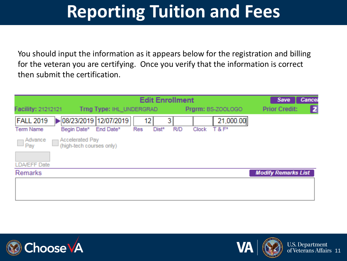You should input the information as it appears below for the registration and billing for the veteran you are certifying. Once you verify that the information is correct then submit the certification.

|                                                                                           | Save<br><b>Cancel</b>                               |                                 |                            |
|-------------------------------------------------------------------------------------------|-----------------------------------------------------|---------------------------------|----------------------------|
| Facility: 21212121<br>Trng Type: IHL_UNDERGRAD                                            |                                                     | Prgrm: BS-ZOOLOGO               | 2<br><b>Prior Credit:</b>  |
| 08/23/2019 12/07/2019<br><b>FALL 2019</b><br>Begin Date*<br>End Date*<br><b>Term Name</b> | 12 <sub>1</sub><br>31<br><b>R/D</b><br>Dist*<br>Res | 21,000.00<br>$T & F^*$<br>Clock |                            |
| Accelerated Pay<br>Advance<br>$\bigcap_{\text{Pay}}$<br>(high-tech courses only)          |                                                     |                                 |                            |
| <b>LDA/EFF Date</b>                                                                       |                                                     |                                 |                            |
| Remarks                                                                                   |                                                     |                                 | <b>Modify Remarks List</b> |
|                                                                                           |                                                     |                                 |                            |
|                                                                                           |                                                     |                                 |                            |





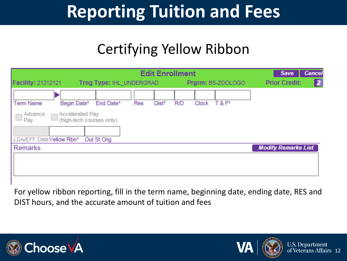#### Certifying Yellow Ribbon

| <b>Facility: 21212121</b> |                                                    | <b>Edit Enrollment</b><br>Trng Type: IHL_UNDERGRAD<br>Prgrm: BS-ZOOLOGO |     |       |     |       | Save<br><b>Prior Credit:</b> | <b>Cancel</b><br>$\vert$ 2 $\vert$ |  |
|---------------------------|----------------------------------------------------|-------------------------------------------------------------------------|-----|-------|-----|-------|------------------------------|------------------------------------|--|
| <b>Term Name</b>          | Begin Date*                                        | End Date*                                                               | Res | Dist* | R/D | Clock | $T & F^*$                    |                                    |  |
| Advance<br>Pay            | <b>Accelerated Pay</b><br>(high-tech courses only) |                                                                         |     |       |     |       |                              |                                    |  |
| LDA/EFF DateYellow Rbn*   |                                                    | Out St Chg                                                              |     |       |     |       |                              |                                    |  |
| <b>Remarks</b>            |                                                    |                                                                         |     |       |     |       |                              | <b>Modify Remarks List</b>         |  |
|                           |                                                    |                                                                         |     |       |     |       |                              |                                    |  |

For yellow ribbon reporting, fill in the term name, beginning date, ending date, RES and DIST hours, and the accurate amount of tuition and fees





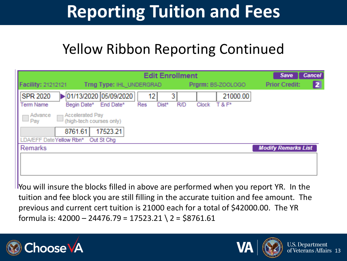#### Yellow Ribbon Reporting Continued

| <b>Facility: 21212121</b><br>Trng Type: IHL UNDERGRAD                                              | <b>Edit Enrollment</b>                | Prgrm: BS-ZOOLOGO              | <b>Cancel</b><br>Save<br>$\mathbf{z}$<br><b>Prior Credit:</b> |
|----------------------------------------------------------------------------------------------------|---------------------------------------|--------------------------------|---------------------------------------------------------------|
| $\triangleright$ 01/13/2020 05/09/2020<br><b>SPR 2020</b><br>Begin Date*<br>End Date*<br>Term Name | 12<br>3<br><b>R/D</b><br>Res<br>Dist* | 21000.00<br>$T & F^*$<br>Clock |                                                               |
| <b>Accelerated Pay</b><br>Advance<br>(high-tech courses only)<br><sup>4</sup> Pay                  |                                       |                                |                                                               |
| 8761.61<br>17523.21<br>DA/EFF DateYellow Rbn*<br>Out St Chg                                        |                                       |                                |                                                               |
| <b>Remarks</b>                                                                                     |                                       |                                | <b>Modify Remarks List</b>                                    |
|                                                                                                    |                                       |                                |                                                               |

**I** You will insure the blocks filled in above are performed when you report YR. In the tuition and fee block you are still filling in the accurate tuition and fee amount. The previous and current cert tuition is 21000 each for a total of \$42000.00. The YR formula is:  $42000 - 24476.79 = 17523.21$   $2 = $8761.61$ 





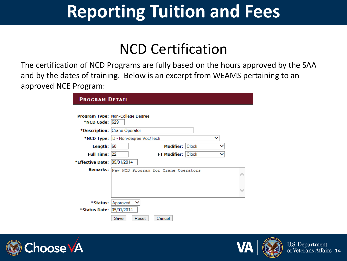#### NCD Certification

The certification of NCD Programs are fully based on the hours approved by the SAA and by the dates of training. Below is an excerpt from WEAMS pertaining to an approved NCE Program:

| <b>PROGRAM DETAIL</b>       |                                              |
|-----------------------------|----------------------------------------------|
|                             |                                              |
|                             | <b>Program Type: Non-College Degree</b>      |
| <b>*NCD Code: 629</b>       |                                              |
|                             | *Description: Crane Operator                 |
|                             | *NCD Type: D - Non-degree Voc/Tech           |
| Length: $ 60 $              | Modifier: Clock                              |
| Full Time: 22               | FT Modifier: Clock                           |
| *Effective Date: 05/01/2014 |                                              |
|                             | Remarks: New NCD Program for Crane Operators |
|                             |                                              |
|                             |                                              |
|                             |                                              |
|                             |                                              |
|                             | *Status: Approved                            |
| *Status Date: 05/01/2014    |                                              |
|                             | Save<br>Reset<br>Cancel                      |





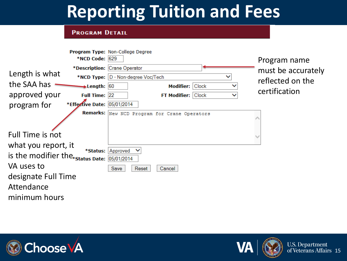#### **PROGRAM DETAIL**

|                                             |                                            | Program Type: Non-College Degree             |                    |
|---------------------------------------------|--------------------------------------------|----------------------------------------------|--------------------|
|                                             | *NCD Code: 629                             |                                              | Program name       |
|                                             |                                            | *Description: Crane Operator                 | must be accurately |
| Length is what                              |                                            | *NCD Type: D - Non-degree Voc/Tech           | reflected on the   |
| the SAA has                                 | $\blacktriangleright$ Length: $ 60\rangle$ | Clock<br><b>Modifier:</b>                    |                    |
| approved your                               | Full Time: 22                              | FT Modifier: Clock                           | certification      |
| program for                                 | *Effective Date: 05/01/2014                |                                              |                    |
|                                             |                                            | Remarks: New NCD Program for Crane Operators |                    |
| <b>Full Time is not</b>                     |                                            |                                              |                    |
| what you report, it                         | *Status:                                   | Approved                                     |                    |
| is the modifier the status Date: 05/01/2014 |                                            |                                              |                    |
| VA uses to                                  |                                            | Reset<br>Cancel<br>Save                      |                    |
| designate Full Time                         |                                            |                                              |                    |
| Attendance                                  |                                            |                                              |                    |
| minimum hours                               |                                            |                                              |                    |





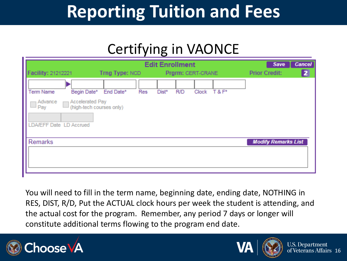#### Certifying in VAONCE

| Facility: 21212221                       |                                                                   | <b>Edit Enrollment</b><br>Prgrm: CERT-CRANE<br>Trng Type: NCD |     |       |            |            |  | Save<br><b>Prior Credit:</b> | <b>Cancel</b><br>$\overline{2}$ |
|------------------------------------------|-------------------------------------------------------------------|---------------------------------------------------------------|-----|-------|------------|------------|--|------------------------------|---------------------------------|
| Term Name<br>Advance<br><sup>4</sup> Pay | Begin Date*<br><b>Accelerated Pay</b><br>(high-tech courses only) | End Date*                                                     | Res | Dist* | <b>R/D</b> | Clock T&F* |  |                              |                                 |
| LDA/EFF Date LD Accrued<br>Remarks       |                                                                   |                                                               |     |       |            |            |  | <b>Modify Remarks List</b>   |                                 |

You will need to fill in the term name, beginning date, ending date, NOTHING in RES, DIST, R/D, Put the ACTUAL clock hours per week the student is attending, and the actual cost for the program. Remember, any period 7 days or longer will constitute additional terms flowing to the program end date.





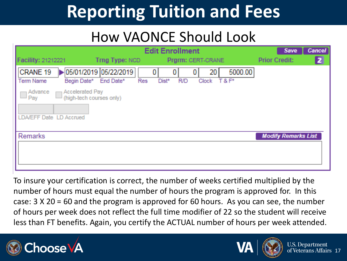#### How VAONCE Should Look

|                                | <b>Edit Enrollment</b>                             |                                        |            |       |            |                   |           |                            |  |
|--------------------------------|----------------------------------------------------|----------------------------------------|------------|-------|------------|-------------------|-----------|----------------------------|--|
| <b>Facility: 21212221</b>      |                                                    | Trng Type: NCD                         |            |       |            | Prgrm: CERT-CRANE |           | <b>Prior Credit:</b>       |  |
| CRANE 19                       |                                                    | $\triangleright$ 05/01/2019 05/22/2019 |            |       |            | 20                | 5000.00   |                            |  |
| Term Name                      | Begin Date*                                        | End Date*                              | <b>Res</b> | Dist* | <b>R/D</b> | Clock             | $T & F^*$ |                            |  |
| Advance<br>Pay                 | <b>Accelerated Pay</b><br>(high-tech courses only) |                                        |            |       |            |                   |           |                            |  |
| <b>LDA/EFF Date LD Accrued</b> |                                                    |                                        |            |       |            |                   |           |                            |  |
| <b>Remarks</b>                 |                                                    |                                        |            |       |            |                   |           | <b>Modify Remarks List</b> |  |
|                                |                                                    |                                        |            |       |            |                   |           |                            |  |
|                                |                                                    |                                        |            |       |            |                   |           |                            |  |

To insure your certification is correct, the number of weeks certified multiplied by the number of hours must equal the number of hours the program is approved for. In this case: 3 X 20 = 60 and the program is approved for 60 hours. As you can see, the number of hours per week does not reflect the full time modifier of 22 so the student will receive less than FT benefits. Again, you certify the ACTUAL number of hours per week attended.





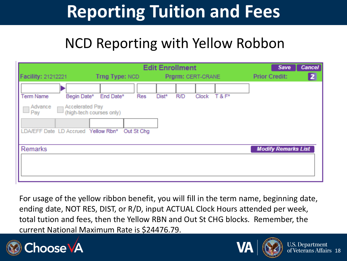#### NCD Reporting with Yellow Robbon

|                                          | <b>Edit Enrollment</b>   |                     |                   |                                      |  |  |  |
|------------------------------------------|--------------------------|---------------------|-------------------|--------------------------------------|--|--|--|
| Facility: 21212221                       | Trng Type: NCD           |                     | Prgrm: CERT-CRANE | $\mathbf{z}$<br><b>Prior Credit:</b> |  |  |  |
|                                          |                          |                     |                   |                                      |  |  |  |
| Begin Date*<br><b>Term Name</b>          | End Date*<br>Res         | <b>R/D</b><br>Dist* | Clock T&F*        |                                      |  |  |  |
| <b>Accelerated Pay</b><br>Advance<br>Pay | (high-tech courses only) |                     |                   |                                      |  |  |  |
| LDA/EFF Date LD Accrued Yellow Rbn*      | Out St Chg               |                     |                   |                                      |  |  |  |
| Remarks                                  |                          |                     |                   | <b>Modify Remarks List</b>           |  |  |  |
|                                          |                          |                     |                   |                                      |  |  |  |
|                                          |                          |                     |                   |                                      |  |  |  |
|                                          |                          |                     |                   |                                      |  |  |  |

For usage of the yellow ribbon benefit, you will fill in the term name, beginning date, ending date, NOT RES, DIST, or R/D, input ACTUAL Clock Hours attended per week, total tution and fees, then the Yellow RBN and Out St CHG blocks. Remember, the current National Maximum Rate is \$24476.79.





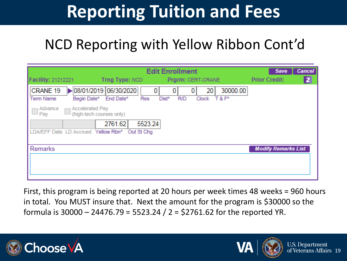#### NCD Reporting with Yellow Ribbon Cont'd

| <b>Edit Enrollment</b>                                                                                                                                                  | Save                       | <b>Cancel</b> |
|-------------------------------------------------------------------------------------------------------------------------------------------------------------------------|----------------------------|---------------|
| Facility: 21212221<br>Trng Type: NCD<br>Prgrm: CERT-CRANE                                                                                                               | <b>Prior Credit:</b>       | $\mathbf{z}$  |
| $\triangleright$ 08/01/2019 06/30/2020<br>30000.00<br>CRANE 19<br>0<br>20<br>0<br>Begin Date* End Date*<br>Dist*<br><b>R/D</b><br>Clock T&F*<br><b>Term Name</b><br>Res |                            |               |
| Advance<br><b>Accelerated Pay</b><br>(high-tech courses only)<br>$\perp$ Pay                                                                                            |                            |               |
| 2761.62<br>5523.24<br>LDA/EFF Date LD Accrued Yellow Rbn*<br>Out St Chg                                                                                                 |                            |               |
| Remarks                                                                                                                                                                 | <b>Modify Remarks List</b> |               |
|                                                                                                                                                                         |                            |               |

First, this program is being reported at 20 hours per week times 48 weeks = 960 hours in total. You MUST insure that. Next the amount for the program is \$30000 so the formula is 30000 – 24476.79 = 5523.24 / 2 = \$2761.62 for the reported YR.



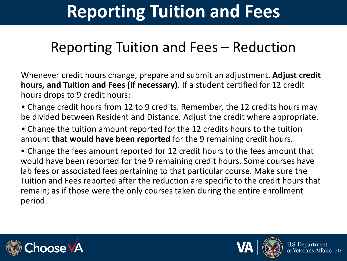#### Reporting Tuition and Fees – Reduction

Whenever credit hours change, prepare and submit an adjustment. **Adjust credit hours, and Tuition and Fees (if necessary)**. If a student certified for 12 credit hours drops to 9 credit hours:

• Change credit hours from 12 to 9 credits. Remember, the 12 credits hours may be divided between Resident and Distance. Adjust the credit where appropriate.

• Change the tuition amount reported for the 12 credits hours to the tuition amount **that would have been reported** for the 9 remaining credit hours.

• Change the fees amount reported for 12 credit hours to the fees amount that would have been reported for the 9 remaining credit hours. Some courses have lab fees or associated fees pertaining to that particular course. Make sure the Tuition and Fees reported after the reduction are specific to the credit hours that remain; as if those were the only courses taken during the entire enrollment period.





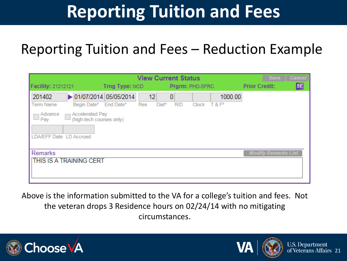#### Reporting Tuition and Fees – Reduction Example

|                                                                                                             | Save           | <b>Cancel</b>      |                 |                   |         |                            |    |
|-------------------------------------------------------------------------------------------------------------|----------------|--------------------|-----------------|-------------------|---------|----------------------------|----|
| Facility: 21212121                                                                                          | Trng Type: NCD |                    | Prgrm: PHD-SFRC |                   |         | <b>Prior Credit:</b>       | 5E |
| ▶ 01/07/2014 05/05/2014<br>201402<br><b>Term Name</b><br>Begin Date*                                        | End Date*      | 12<br>Res<br>Dist* | 0<br><b>R/D</b> | $Clock$ $T & F^*$ | 1000.00 |                            |    |
| <b>Accelerated Pay</b><br>Advance<br>(high-tech courses only)<br>$\triangle$ Pay<br>LDA/EFF Date LD Accrued |                |                    |                 |                   |         |                            |    |
| Remarks<br>THIS IS A TRAINING CERT                                                                          |                |                    |                 |                   |         | <b>Modify Remarks List</b> |    |

Above is the information submitted to the VA for a college's tuition and fees. Not the veteran drops 3 Residence hours on 02/24/14 with no mitigating circumstances.





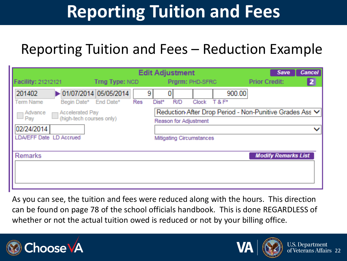#### Reporting Tuition and Fees – Reduction Example

|                                                                                             |                                                  | <b>Edit Adjustment</b>                 | <b>Cancel</b><br>Save                                        |
|---------------------------------------------------------------------------------------------|--------------------------------------------------|----------------------------------------|--------------------------------------------------------------|
| Facility: 21212121                                                                          | Trng Type: NCD                                   | Prgrm: PHD-SFRC                        | $\mathbf{z}$<br><b>Prior Credit:</b>                         |
| 201402<br><b>Term Name</b><br>Begin Date*                                                   | 01/07/2014 05/05/2014<br>End Date*<br><b>Res</b> | 9<br>Clock T&F*<br><b>R/D</b><br>Dist* | 900.00                                                       |
| <b>← Accelerated Pay</b><br>Advance<br>$\Box$ Pay<br>(high-tech courses only)<br>02/24/2014 |                                                  | Reason for Adjustment                  | Reduction After Drop Period - Non-Punitive Grades Ass V<br>◡ |
| LDA/EFF Date LD Accrued                                                                     |                                                  | Mitigating Circumstances               |                                                              |
| <b>Remarks</b>                                                                              |                                                  |                                        | <b>Modify Remarks List</b>                                   |

As you can see, the tuition and fees were reduced along with the hours. This direction can be found on page 78 of the school officials handbook. This is done REGARDLESS of whether or not the actual tuition owed is reduced or not by your billing office.